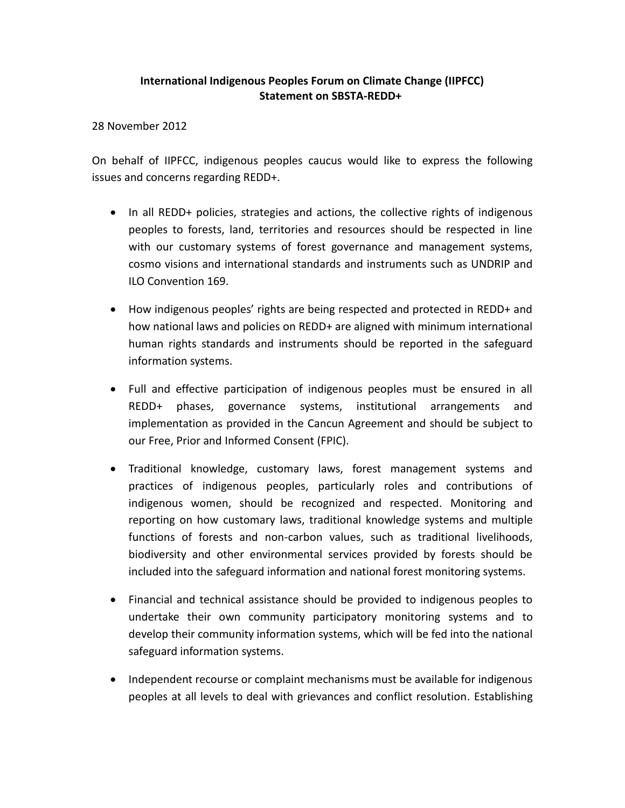## **International Indigenous Peoples Forum on Climate Change (IIPFCC) Statement on SBSTA-REDD+**

28 November 2012

On behalf of IIPFCC, indigenous peoples caucus would like to express the following issues and concerns regarding REDD+.

- In all REDD+ policies, strategies and actions, the collective rights of indigenous peoples to forests, land, territories and resources should be respected in line with our customary systems of forest governance and management systems, cosmo visions and international standards and instruments such as UNDRIP and ILO Convention 169.
- How indigenous peoples' rights are being respected and protected in REDD+ and how national laws and policies on REDD+ are aligned with minimum international human rights standards and instruments should be reported in the safeguard information systems.
- Full and effective participation of indigenous peoples must be ensured in all REDD+ phases, governance systems, institutional arrangements and implementation as provided in the Cancun Agreement and should be subject to our Free, Prior and Informed Consent (FPIC).
- Traditional knowledge, customary laws, forest management systems and practices of indigenous peoples, particularly roles and contributions of indigenous women, should be recognized and respected. Monitoring and reporting on how customary laws, traditional knowledge systems and multiple functions of forests and non-carbon values, such as traditional livelihoods, biodiversity and other environmental services provided by forests should be included into the safeguard information and national forest monitoring systems.
- Financial and technical assistance should be provided to indigenous peoples to undertake their own community participatory monitoring systems and to develop their community information systems, which will be fed into the national safeguard information systems.
- Independent recourse or complaint mechanisms must be available for indigenous peoples at all levels to deal with grievances and conflict resolution. Establishing